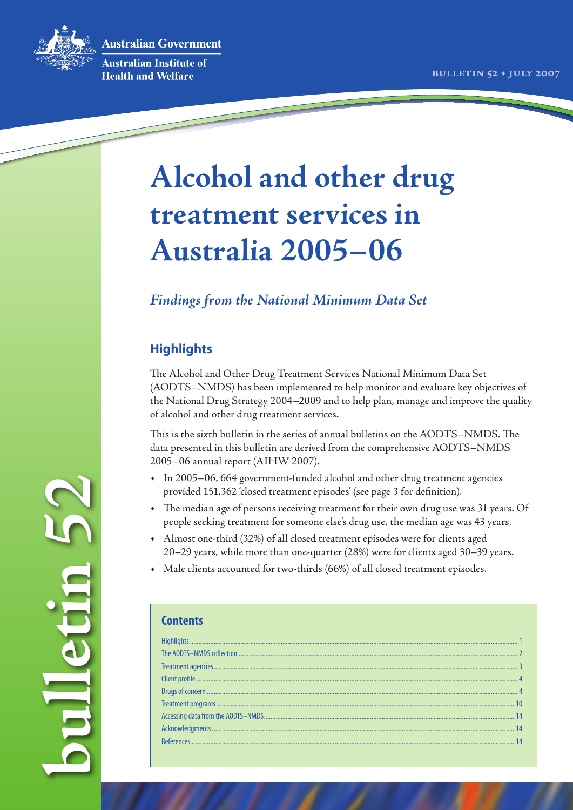**Australian Government** 



Australian Institute of **Health and Welfare** 

# **Alcohol and other drug treatment services in Australia 2005–06**

# *Findings from the National Minimum Data Set*

# **Highlights**

The Alcohol and Other Drug Treatment Services National Minimum Data Set (AODTS–NMDS) has been implemented to help monitor and evaluate key objectives of the National Drug Strategy 2004–2009 and to help plan, manage and improve the quality of alcohol and other drug treatment services.

This is the sixth bulletin in the series of annual bulletins on the AODTS–NMDS. The data presented in this bulletin are derived from the comprehensive AODTS–NMDS

- 2005–06 annual report (AIHW 2007). In 2005–06, 664 government-funded alcohol and other drug treatment agencies provided 151,362 'closed treatment episodes' (see page 3 for definition).
- The median age of persons receiving treatment for their own drug use was 31 years. Of people seeking treatment for someone else's drug use, the median age was 43 years.
- Almost one-third (32%) of all closed treatment episodes were for clients aged 20–29 years, while more than one-quarter (28%) were for clients aged 30–39 years.
- Male clients accounted for two-thirds (66%) of all closed treatment episodes.

**bulletin 52**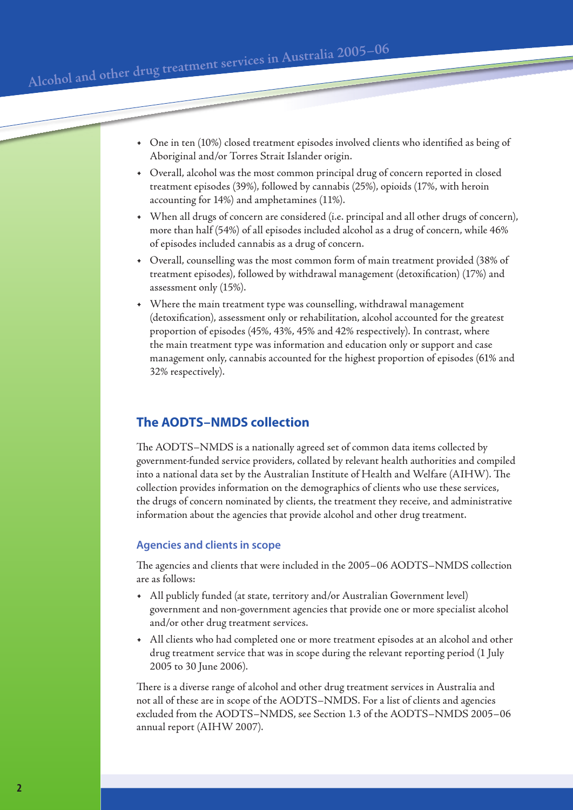• One in ten (10%) closed treatment episodes involved clients who identified as being of Aboriginal and/or Torres Strait Islander origin.

- Overall, alcohol was the most common principal drug of concern reported in closed treatment episodes (39%), followed by cannabis (25%), opioids (17%, with heroin accounting for 14%) and amphetamines (11%).
- When all drugs of concern are considered (i.e. principal and all other drugs of concern), more than half (54%) of all episodes included alcohol as a drug of concern, while 46% of episodes included cannabis as a drug of concern.
- Overall, counselling was the most common form of main treatment provided (38% of treatment episodes), followed by withdrawal management (detoxification) (17%) and assessment only (15%).
- Where the main treatment type was counselling, withdrawal management (detoxification), assessment only or rehabilitation, alcohol accounted for the greatest proportion of episodes (45%, 43%, 45% and 42% respectively). In contrast, where the main treatment type was information and education only or support and case management only, cannabis accounted for the highest proportion of episodes (61% and 32% respectively).

# **The AODTS–NMDS collection**

The AODTS–NMDS is a nationally agreed set of common data items collected by government-funded service providers, collated by relevant health authorities and compiled into a national data set by the Australian Institute of Health and Welfare (AIHW). The collection provides information on the demographics of clients who use these services, the drugs of concern nominated by clients, the treatment they receive, and administrative information about the agencies that provide alcohol and other drug treatment.

#### **Agencies and clients in scope**

The agencies and clients that were included in the 2005–06 AODTS–NMDS collection are as follows:

- All publicly funded (at state, territory and/or Australian Government level) government and non-government agencies that provide one or more specialist alcohol and/or other drug treatment services.
- All clients who had completed one or more treatment episodes at an alcohol and other drug treatment service that was in scope during the relevant reporting period (1 July 2005 to 30 June 2006).

There is a diverse range of alcohol and other drug treatment services in Australia and not all of these are in scope of the AODTS–NMDS. For a list of clients and agencies excluded from the AODTS–NMDS, see Section 1.3 of the AODTS–NMDS 2005–06 annual report (AIHW 2007).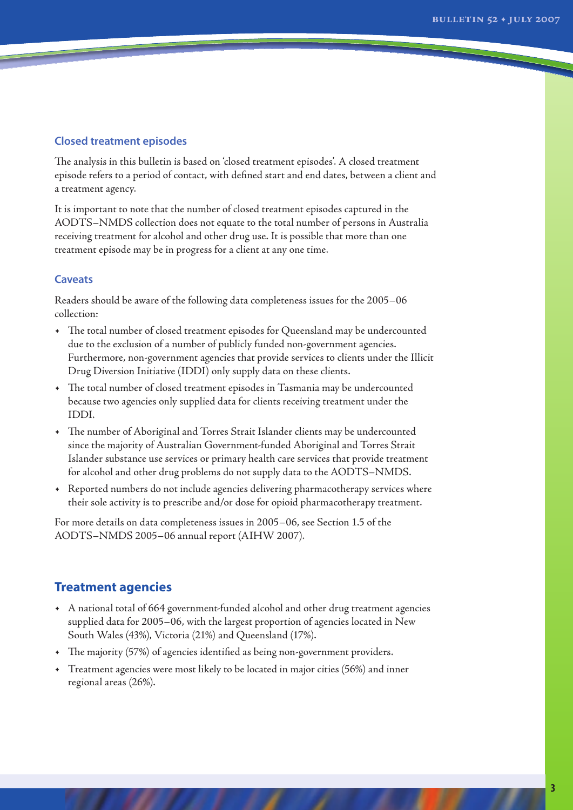#### **Closed treatment episodes**

The analysis in this bulletin is based on 'closed treatment episodes'. A closed treatment episode refers to a period of contact, with defined start and end dates, between a client and a treatment agency.

It is important to note that the number of closed treatment episodes captured in the AODTS–NMDS collection does not equate to the total number of persons in Australia receiving treatment for alcohol and other drug use. It is possible that more than one treatment episode may be in progress for a client at any one time.

#### **Caveats**

Readers should be aware of the following data completeness issues for the 2005–06 collection:

- The total number of closed treatment episodes for Queensland may be undercounted due to the exclusion of a number of publicly funded non-government agencies. Furthermore, non-government agencies that provide services to clients under the Illicit Drug Diversion Initiative (IDDI) only supply data on these clients.
- The total number of closed treatment episodes in Tasmania may be undercounted because two agencies only supplied data for clients receiving treatment under the IDDI.
- The number of Aboriginal and Torres Strait Islander clients may be undercounted since the majority of Australian Government-funded Aboriginal and Torres Strait Islander substance use services or primary health care services that provide treatment for alcohol and other drug problems do not supply data to the AODTS–NMDS.
- Reported numbers do not include agencies delivering pharmacotherapy services where their sole activity is to prescribe and/or dose for opioid pharmacotherapy treatment.

For more details on data completeness issues in 2005–06, see Section 1.5 of the AODTS–NMDS 2005–06 annual report (AIHW 2007).

# **Treatment agencies**

- A national total of 664 government-funded alcohol and other drug treatment agencies supplied data for 2005–06, with the largest proportion of agencies located in New South Wales (43%), Victoria (21%) and Queensland (17%).
- The majority (57%) of agencies identified as being non-government providers.
- Treatment agencies were most likely to be located in major cities (56%) and inner regional areas (26%).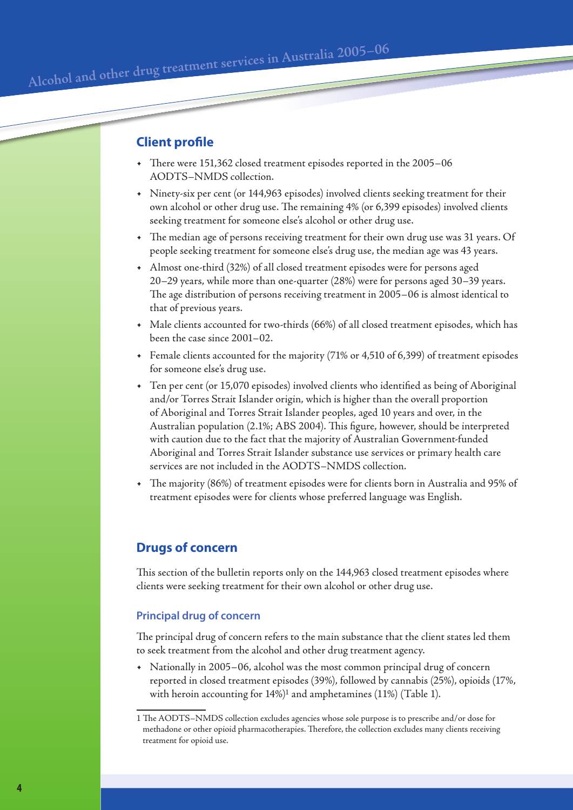# **Client profile**

- There were 151,362 closed treatment episodes reported in the 2005–06 AODTS–NMDS collection.
- Ninety-six per cent (or 144,963 episodes) involved clients seeking treatment for their own alcohol or other drug use. The remaining 4% (or 6,399 episodes) involved clients seeking treatment for someone else's alcohol or other drug use.
- The median age of persons receiving treatment for their own drug use was 31 years. Of people seeking treatment for someone else's drug use, the median age was 43 years.
- Almost one-third (32%) of all closed treatment episodes were for persons aged 20–29 years, while more than one-quarter (28%) were for persons aged 30–39 years. The age distribution of persons receiving treatment in 2005–06 is almost identical to that of previous years.
- Male clients accounted for two-thirds (66%) of all closed treatment episodes, which has been the case since 2001–02.
- Female clients accounted for the majority (71% or 4,510 of 6,399) of treatment episodes for someone else's drug use.
- Ten per cent (or 15,070 episodes) involved clients who identified as being of Aboriginal and/or Torres Strait Islander origin, which is higher than the overall proportion of Aboriginal and Torres Strait Islander peoples, aged 10 years and over, in the Australian population (2.1%; ABS 2004). This figure, however, should be interpreted with caution due to the fact that the majority of Australian Government-funded Aboriginal and Torres Strait Islander substance use services or primary health care services are not included in the AODTS–NMDS collection.
- The majority (86%) of treatment episodes were for clients born in Australia and 95% of treatment episodes were for clients whose preferred language was English.

# **Drugs of concern**

This section of the bulletin reports only on the 144,963 closed treatment episodes where clients were seeking treatment for their own alcohol or other drug use.

#### **Principal drug of concern**

The principal drug of concern refers to the main substance that the client states led them to seek treatment from the alcohol and other drug treatment agency.

• Nationally in 2005–06, alcohol was the most common principal drug of concern reported in closed treatment episodes (39%), followed by cannabis (25%), opioids (17%, with heroin accounting for 14%)<sup>1</sup> and amphetamines (11%) (Table 1).

<sup>1</sup> The AODTS–NMDS collection excludes agencies whose sole purpose is to prescribe and/or dose for methadone or other opioid pharmacotherapies. Therefore, the collection excludes many clients receiving treatment for opioid use.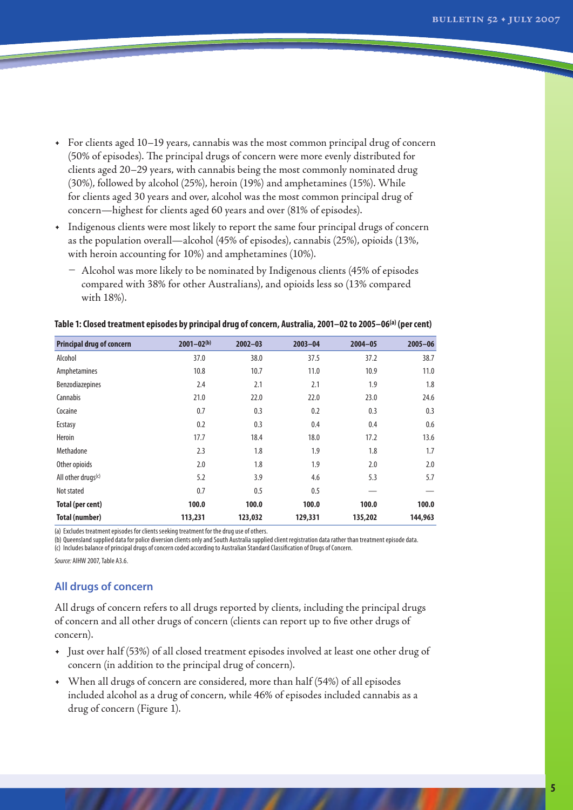- For clients aged 10–19 years, cannabis was the most common principal drug of concern (50% of episodes). The principal drugs of concern were more evenly distributed for clients aged 20–29 years, with cannabis being the most commonly nominated drug (30%), followed by alcohol (25%), heroin (19%) and amphetamines (15%). While for clients aged 30 years and over, alcohol was the most common principal drug of concern—highest for clients aged 60 years and over (81% of episodes).
- Indigenous clients were most likely to report the same four principal drugs of concern as the population overall—alcohol (45% of episodes), cannabis (25%), opioids (13%, with heroin accounting for 10%) and amphetamines (10%).
	- Alcohol was more likely to be nominated by Indigenous clients (45% of episodes compared with 38% for other Australians), and opioids less so (13% compared with 18%).

| <b>Principal drug of concern</b> | $2001 - 02^{(b)}$ | $2002 - 03$ | $2003 - 04$ | $2004 - 05$ | $2005 - 06$ |
|----------------------------------|-------------------|-------------|-------------|-------------|-------------|
| Alcohol                          | 37.0              | 38.0        | 37.5        | 37.2        | 38.7        |
| Amphetamines                     | 10.8              | 10.7        | 11.0        | 10.9        | 11.0        |
| Benzodiazepines                  | 2.4               | 2.1         | 2.1         | 1.9         | 1.8         |
| Cannabis                         | 21.0              | 22.0        | 22.0        | 23.0        | 24.6        |
| Cocaine                          | 0.7               | 0.3         | 0.2         | 0.3         | 0.3         |
| Ecstasy                          | 0.2               | 0.3         | 0.4         | 0.4         | 0.6         |
| <b>Heroin</b>                    | 17.7              | 18.4        | 18.0        | 17.2        | 13.6        |
| Methadone                        | 2.3               | 1.8         | 1.9         | 1.8         | 1.7         |
| Other opioids                    | 2.0               | 1.8         | 1.9         | 2.0         | 2.0         |
| All other drugs $(c)$            | 5.2               | 3.9         | 4.6         | 5.3         | 5.7         |
| Not stated                       | 0.7               | 0.5         | 0.5         |             |             |
| <b>Total (per cent)</b>          | 100.0             | 100.0       | 100.0       | 100.0       | 100.0       |
| <b>Total (number)</b>            | 113,231           | 123,032     | 129,331     | 135,202     | 144,963     |

#### **Table 1: Closed treatment episodes by principal drug of concern, Australia, 2001–02 to 2005–06(a) (per cent)**

(a) Excludes treatment episodes for clients seeking treatment for the drug use of others.

(b) Queensland supplied data for police diversion clients only and South Australia supplied client registration data rather than treatment episode data. (c) Includes balance of principal drugs of concern coded according to Australian Standard Classification of Drugs of Concern.

*Source:* AIHW2007,Table A3.6.

### **All drugs of concern**

All drugs of concern refers to all drugs reported by clients, including the principal drugs of concern and all other drugs of concern (clients can report up to five other drugs of concern).

- Just over half (53%) of all closed treatment episodes involved at least one other drug of concern (in addition to the principal drug of concern).
- When all drugs of concern are considered, more than half (54%) of all episodes included alcohol as a drug of concern, while 46% of episodes included cannabis as a drug of concern (Figure 1).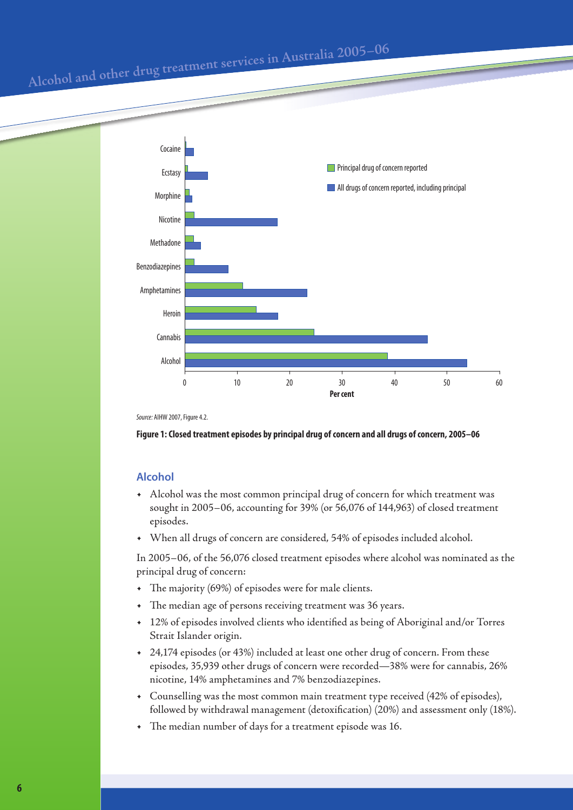

*Source: AIHW 2007, Figure 4.2.* 

#### **Figure 1: Closed treatment episodes by principal drug of concern and all drugs of concern, 2005–06**

#### **Alcohol**

- Alcohol was the most common principal drug of concern for which treatment was sought in 2005–06, accounting for 39% (or 56,076 of 144,963) of closed treatment episodes.
- When all drugs of concern are considered, 54% of episodes included alcohol.

In 2005–06, of the 56,076 closed treatment episodes where alcohol was nominated as the principal drug of concern:

- The majority (69%) of episodes were for male clients.
- The median age of persons receiving treatment was 36 years.
- 12% of episodes involved clients who identified as being of Aboriginal and/or Torres Strait Islander origin.
- 24,174 episodes (or 43%) included at least one other drug of concern. From these episodes, 35,939 other drugs of concern were recorded—38% were for cannabis, 26% nicotine, 14% amphetamines and 7% benzodiazepines.
- Counselling was the most common main treatment type received (42% of episodes), followed by withdrawal management (detoxification) (20%) and assessment only (18%).
- The median number of days for a treatment episode was 16.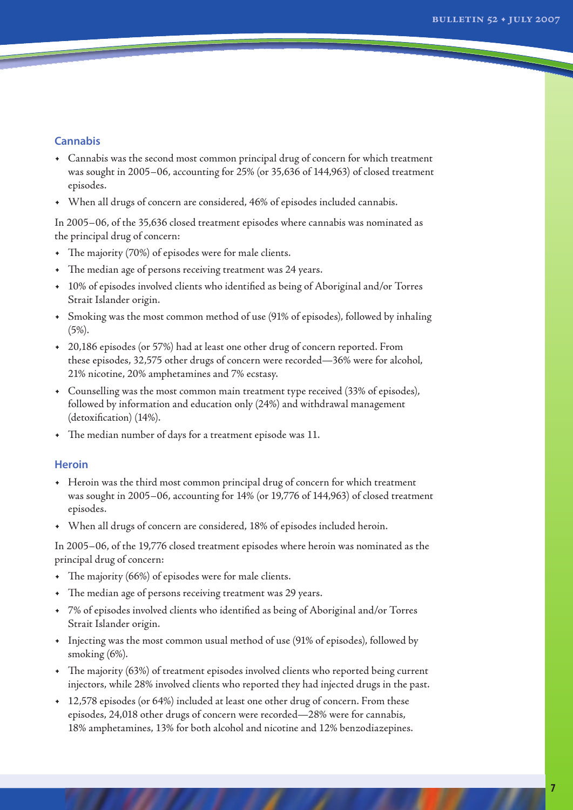#### **Cannabis**

- Cannabis was the second most common principal drug of concern for which treatment was sought in 2005–06, accounting for 25% (or 35,636 of 144,963) of closed treatment episodes.
- When all drugs of concern are considered, 46% of episodes included cannabis.

In 2005–06, of the 35,636 closed treatment episodes where cannabis was nominated as the principal drug of concern:

- The majority (70%) of episodes were for male clients.
- The median age of persons receiving treatment was 24 years.
- 10% of episodes involved clients who identified as being of Aboriginal and/or Torres Strait Islander origin.
- Smoking was the most common method of use (91% of episodes), followed by inhaling (5%).
- 20,186 episodes (or 57%) had at least one other drug of concern reported. From these episodes, 32,575 other drugs of concern were recorded—36% were for alcohol, 21% nicotine, 20% amphetamines and 7% ecstasy.
- Counselling was the most common main treatment type received (33% of episodes), followed by information and education only (24%) and withdrawal management (detoxification) (14%).
- The median number of days for a treatment episode was 11.

#### **Heroin**

- Heroin was the third most common principal drug of concern for which treatment was sought in 2005–06, accounting for 14% (or 19,776 of 144,963) of closed treatment episodes.
- When all drugs of concern are considered, 18% of episodes included heroin.

In 2005–06, of the 19,776 closed treatment episodes where heroin was nominated as the principal drug of concern:

- The majority (66%) of episodes were for male clients.
- The median age of persons receiving treatment was 29 years.
- 7% of episodes involved clients who identified as being of Aboriginal and/or Torres Strait Islander origin.
- Injecting was the most common usual method of use (91% of episodes), followed by smoking (6%).
- The majority (63%) of treatment episodes involved clients who reported being current injectors, while 28% involved clients who reported they had injected drugs in the past.
- 12,578 episodes (or 64%) included at least one other drug of concern. From these episodes, 24,018 other drugs of concern were recorded—28% were for cannabis, 18% amphetamines, 13% for both alcohol and nicotine and 12% benzodiazepines.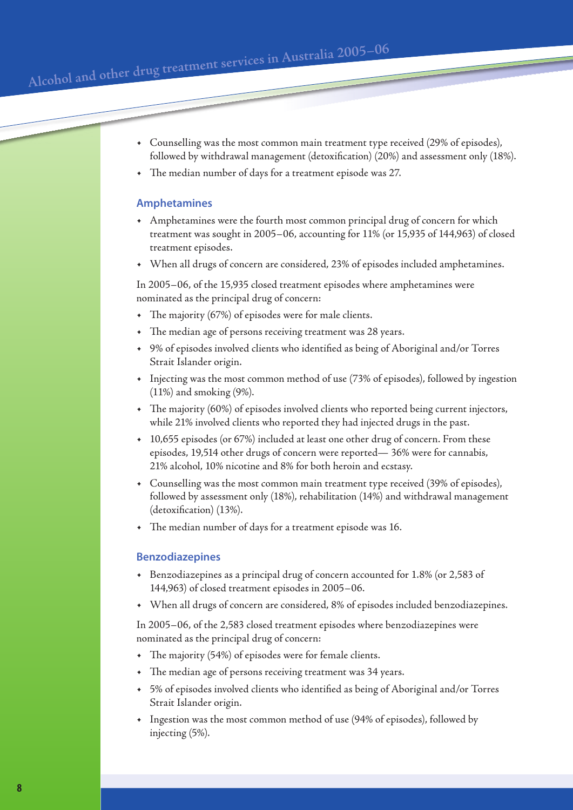Alcohol and other drug treatment services in Australia 2005-06

- Counselling was the most common main treatment type received (29% of episodes), followed by withdrawal management (detoxification) (20%) and assessment only (18%).
- The median number of days for a treatment episode was 27.

#### **Amphetamines**

- Amphetamines were the fourth most common principal drug of concern for which treatment was sought in 2005–06, accounting for 11% (or 15,935 of 144,963) of closed treatment episodes.
- When all drugs of concern are considered, 23% of episodes included amphetamines.

In 2005–06, of the 15,935 closed treatment episodes where amphetamines were nominated as the principal drug of concern:

- The majority (67%) of episodes were for male clients.
- The median age of persons receiving treatment was 28 years.
- 9% of episodes involved clients who identified as being of Aboriginal and/or Torres Strait Islander origin.
- Injecting was the most common method of use (73% of episodes), followed by ingestion (11%) and smoking (9%).
- The majority (60%) of episodes involved clients who reported being current injectors, while 21% involved clients who reported they had injected drugs in the past.
- 10,655 episodes (or 67%) included at least one other drug of concern. From these episodes, 19,514 other drugs of concern were reported— 36% were for cannabis, 21% alcohol, 10% nicotine and 8% for both heroin and ecstasy.
- Counselling was the most common main treatment type received (39% of episodes), followed by assessment only (18%), rehabilitation (14%) and withdrawal management (detoxification) (13%).
- The median number of days for a treatment episode was 16.

#### **Benzodiazepines**

- Benzodiazepines as a principal drug of concern accounted for 1.8% (or 2,583 of 144,963) of closed treatment episodes in 2005–06.
- When all drugs of concern are considered, 8% of episodes included benzodiazepines.

In 2005–06, of the 2,583 closed treatment episodes where benzodiazepines were nominated as the principal drug of concern:

- The majority (54%) of episodes were for female clients.
- The median age of persons receiving treatment was 34 years.
- 5% of episodes involved clients who identified as being of Aboriginal and/or Torres Strait Islander origin.
- Ingestion was the most common method of use (94% of episodes), followed by injecting (5%).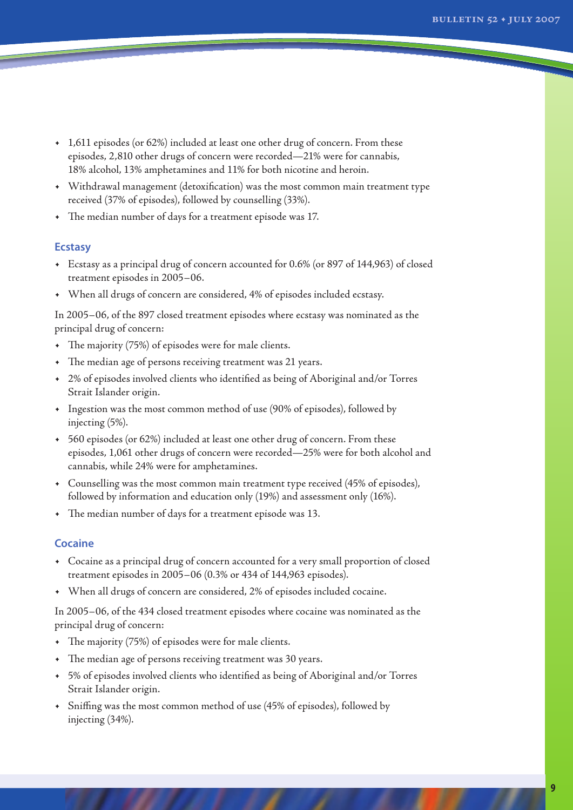- 1,611 episodes (or 62%) included at least one other drug of concern. From these episodes, 2,810 other drugs of concern were recorded—21% were for cannabis, 18% alcohol, 13% amphetamines and 11% for both nicotine and heroin.
- Withdrawal management (detoxification) was the most common main treatment type received (37% of episodes), followed by counselling (33%).
- The median number of days for a treatment episode was 17.

#### **Ecstasy**

- Ecstasy as a principal drug of concern accounted for 0.6% (or 897 of 144,963) of closed treatment episodes in 2005–06.
- When all drugs of concern are considered, 4% of episodes included ecstasy.

In 2005–06, of the 897 closed treatment episodes where ecstasy was nominated as the principal drug of concern:

- The majority (75%) of episodes were for male clients.
- The median age of persons receiving treatment was 21 years.
- 2% of episodes involved clients who identified as being of Aboriginal and/or Torres Strait Islander origin.
- Ingestion was the most common method of use (90% of episodes), followed by injecting (5%).
- 560 episodes (or 62%) included at least one other drug of concern. From these episodes, 1,061 other drugs of concern were recorded—25% were for both alcohol and cannabis, while 24% were for amphetamines.
- Counselling was the most common main treatment type received (45% of episodes), followed by information and education only (19%) and assessment only (16%).
- The median number of days for a treatment episode was 13.

#### **Cocaine**

- Cocaine as a principal drug of concern accounted for a very small proportion of closed treatment episodes in 2005–06 (0.3% or 434 of 144,963 episodes).
- When all drugs of concern are considered, 2% of episodes included cocaine.

In 2005–06, of the 434 closed treatment episodes where cocaine was nominated as the principal drug of concern:

- The majority (75%) of episodes were for male clients.
- The median age of persons receiving treatment was 30 years.
- 5% of episodes involved clients who identified as being of Aboriginal and/or Torres Strait Islander origin.
- Sniffing was the most common method of use (45% of episodes), followed by injecting (34%).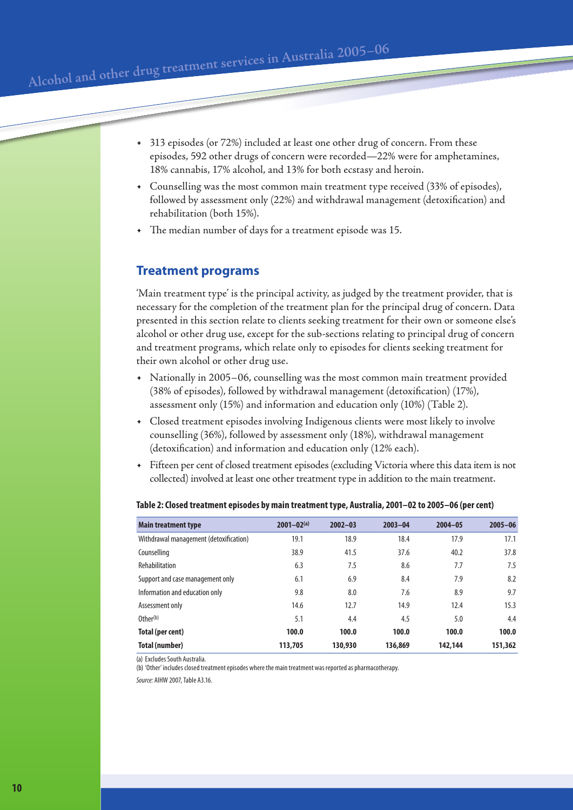Alcohol and other drug treatment services in Australia 2005-06

- 313 episodes (or 72%) included at least one other drug of concern. From these episodes, 592 other drugs of concern were recorded—22% were for amphetamines, 18% cannabis, 17% alcohol, and 13% for both ecstasy and heroin.
- Counselling was the most common main treatment type received (33% of episodes), followed by assessment only (22%) and withdrawal management (detoxification) and rehabilitation (both 15%).
- The median number of days for a treatment episode was 15.

# **Treatment programs**

'Main treatment type' is the principal activity, as judged by the treatment provider, that is necessary for the completion of the treatment plan for the principal drug of concern. Data presented in this section relate to clients seeking treatment for their own or someone else's alcohol or other drug use, except for the sub-sections relating to principal drug of concern and treatment programs, which relate only to episodes for clients seeking treatment for their own alcohol or other drug use.

- Nationally in 2005–06, counselling was the most common main treatment provided (38% of episodes), followed by withdrawal management (detoxification) (17%), assessment only (15%) and information and education only (10%) (Table 2).
- Closed treatment episodes involving Indigenous clients were most likely to involve counselling (36%), followed by assessment only (18%), withdrawal management (detoxification) and information and education only (12% each).
- Fifteen per cent of closed treatment episodes (excluding Victoria where this data item is not collected) involved at least one other treatment type in addition to the main treatment.

| <b>Main treatment type</b>             | $2001 - 02(a)$ | $2002 - 03$ | $2003 - 04$ | $2004 - 05$ | $2005 - 06$ |
|----------------------------------------|----------------|-------------|-------------|-------------|-------------|
| Withdrawal management (detoxification) | 19.1           | 18.9        | 18.4        | 17.9        | 17.1        |
| Counselling                            | 38.9           | 41.5        | 37.6        | 40.2        | 37.8        |
| Rehabilitation                         | 6.3            | 7.5         | 8.6         | 7.7         | 7.5         |
| Support and case management only       | 6.1            | 6.9         | 8.4         | 7.9         | 8.2         |
| Information and education only         | 9.8            | 8.0         | 7.6         | 8.9         | 9.7         |
| Assessment only                        | 14.6           | 12.7        | 14.9        | 12.4        | 15.3        |
| Other <sup>(b)</sup>                   | 5.1            | 4.4         | 4.5         | 5.0         | 4.4         |
| Total (per cent)                       | 100.0          | 100.0       | 100.0       | 100.0       | 100.0       |
| Total (number)                         | 113,705        | 130,930     | 136,869     | 142,144     | 151,362     |

#### **Table 2: Closed treatment episodes by main treatment type, Australia, 2001–02 to 2005–06 (per cent)**

(a) Excludes South Australia.

(b) 'Other' includes closed treatment episodes where the main treatment was reported as pharmacotherapy.

*Source:* AIHW2007,Table A3.16.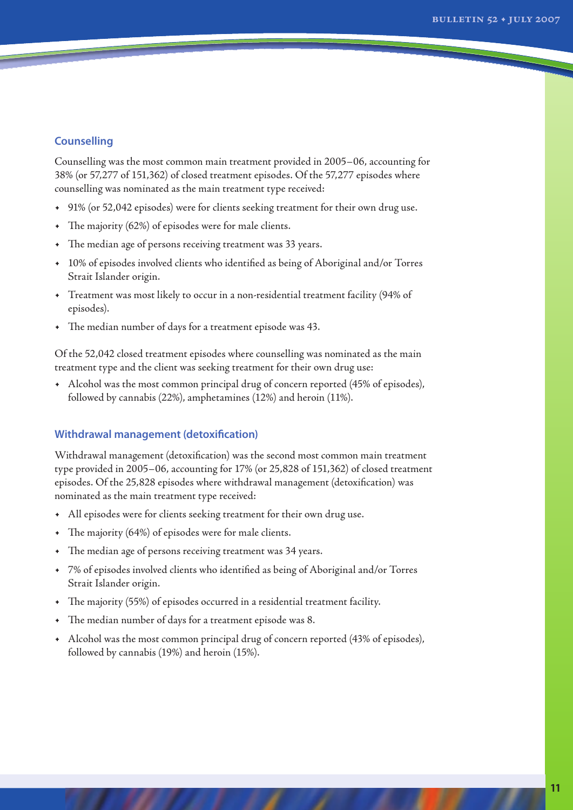#### **Counselling**

Counselling was the most common main treatment provided in 2005–06, accounting for 38% (or 57,277 of 151,362) of closed treatment episodes. Of the 57,277 episodes where counselling was nominated as the main treatment type received:

- 91% (or 52,042 episodes) were for clients seeking treatment for their own drug use.
- The majority (62%) of episodes were for male clients.
- The median age of persons receiving treatment was 33 years.
- 10% of episodes involved clients who identified as being of Aboriginal and/or Torres Strait Islander origin.
- Treatment was most likely to occur in a non-residential treatment facility (94% of episodes).
- The median number of days for a treatment episode was 43.

Of the 52,042 closed treatment episodes where counselling was nominated as the main treatment type and the client was seeking treatment for their own drug use:

• Alcohol was the most common principal drug of concern reported (45% of episodes), followed by cannabis (22%), amphetamines (12%) and heroin (11%).

#### **Withdrawal management (detoxification)**

Withdrawal management (detoxification) was the second most common main treatment type provided in 2005–06, accounting for 17% (or 25,828 of 151,362) of closed treatment episodes. Of the 25,828 episodes where withdrawal management (detoxification) was nominated as the main treatment type received:

- All episodes were for clients seeking treatment for their own drug use.
- The majority (64%) of episodes were for male clients.
- The median age of persons receiving treatment was 34 years.
- 7% of episodes involved clients who identified as being of Aboriginal and/or Torres Strait Islander origin.
- The majority (55%) of episodes occurred in a residential treatment facility.
- The median number of days for a treatment episode was 8.
- Alcohol was the most common principal drug of concern reported (43% of episodes), followed by cannabis (19%) and heroin (15%).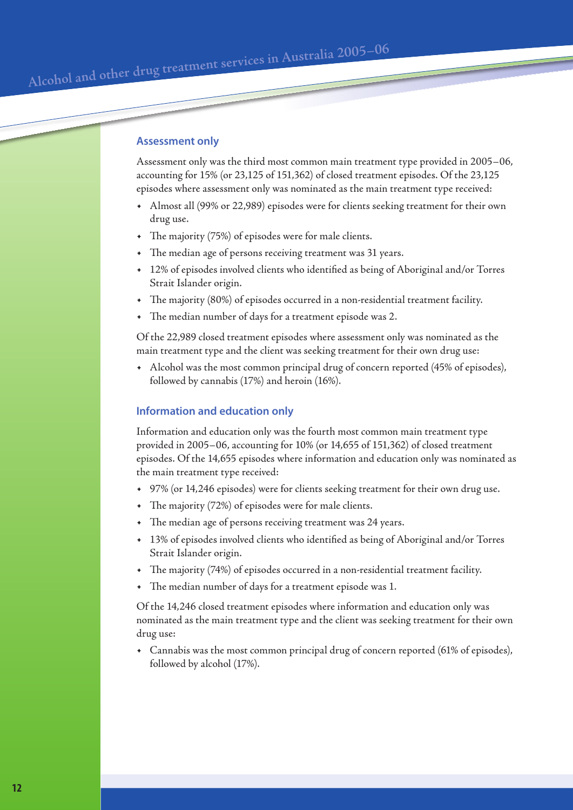#### **Assessment only**

Assessment only was the third most common main treatment type provided in 2005–06, accounting for 15% (or 23,125 of 151,362) of closed treatment episodes. Of the 23,125 episodes where assessment only was nominated as the main treatment type received:

- Almost all (99% or 22,989) episodes were for clients seeking treatment for their own drug use.
- The majority (75%) of episodes were for male clients.
- The median age of persons receiving treatment was 31 years.
- 12% of episodes involved clients who identified as being of Aboriginal and/or Torres Strait Islander origin.
- The majority (80%) of episodes occurred in a non-residential treatment facility.
- The median number of days for a treatment episode was 2.

Of the 22,989 closed treatment episodes where assessment only was nominated as the main treatment type and the client was seeking treatment for their own drug use:

• Alcohol was the most common principal drug of concern reported (45% of episodes), followed by cannabis (17%) and heroin (16%).

#### **Information and education only**

Information and education only was the fourth most common main treatment type provided in 2005–06, accounting for 10% (or 14,655 of 151,362) of closed treatment episodes. Of the 14,655 episodes where information and education only was nominated as the main treatment type received:

- 97% (or 14,246 episodes) were for clients seeking treatment for their own drug use.
- The majority (72%) of episodes were for male clients.
- The median age of persons receiving treatment was 24 years.
- 13% of episodes involved clients who identified as being of Aboriginal and/or Torres Strait Islander origin.
- The majority (74%) of episodes occurred in a non-residential treatment facility.
- The median number of days for a treatment episode was 1.

Of the 14,246 closed treatment episodes where information and education only was nominated as the main treatment type and the client was seeking treatment for their own drug use:

• Cannabis was the most common principal drug of concern reported (61% of episodes), followed by alcohol (17%).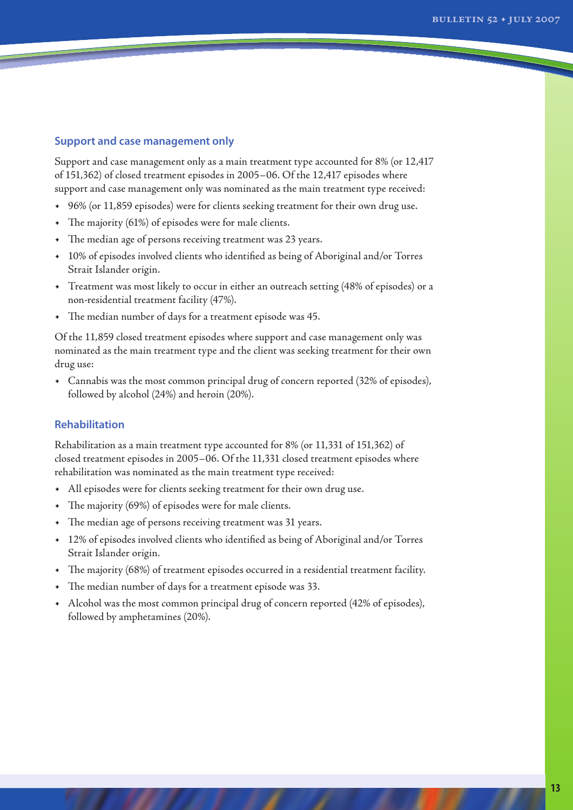#### **Support and case management only**

Support and case management only as a main treatment type accounted for 8% (or 12,417 of 151,362) of closed treatment episodes in 2005–06. Of the 12,417 episodes where support and case management only was nominated as the main treatment type received:

- 96% (or 11,859 episodes) were for clients seeking treatment for their own drug use.
- The majority (61%) of episodes were for male clients.
- The median age of persons receiving treatment was 23 years.
- 10% of episodes involved clients who identified as being of Aboriginal and/or Torres Strait Islander origin.
- Treatment was most likely to occur in either an outreach setting (48% of episodes) or a non-residential treatment facility (47%).
- The median number of days for a treatment episode was 45.

Of the 11,859 closed treatment episodes where support and case management only was nominated as the main treatment type and the client was seeking treatment for their own drug use:

• Cannabis was the most common principal drug of concern reported (32% of episodes), followed by alcohol (24%) and heroin (20%).

#### **Rehabilitation**

Rehabilitation as a main treatment type accounted for 8% (or 11,331 of 151,362) of closed treatment episodes in 2005–06. Of the 11,331 closed treatment episodes where rehabilitation was nominated as the main treatment type received:

- All episodes were for clients seeking treatment for their own drug use.
- The majority (69%) of episodes were for male clients.
- The median age of persons receiving treatment was 31 years.
- 12% of episodes involved clients who identified as being of Aboriginal and/or Torres Strait Islander origin.
- The majority (68%) of treatment episodes occurred in a residential treatment facility.
- The median number of days for a treatment episode was 33.
- Alcohol was the most common principal drug of concern reported (42% of episodes), followed by amphetamines (20%).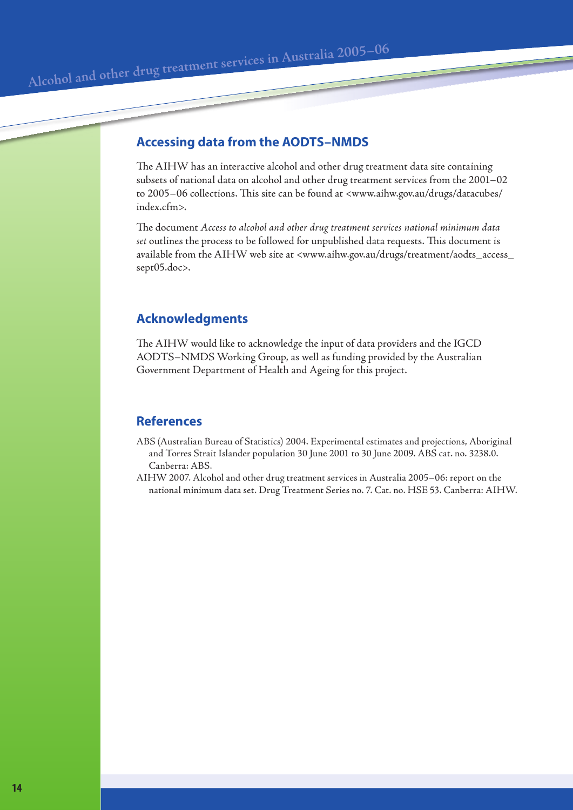Alcohol and other drug treatment services in Australia 2005-06

# **Accessing data from the AODTS–NMDS**

The AIHW has an interactive alcohol and other drug treatment data site containing subsets of national data on alcohol and other drug treatment services from the 2001–02 to 2005–06 collections. This site can be found at <www.aihw.gov.au/drugs/datacubes/ index.cfm>.

The document *Access to alcohol and other drug treatment services national minimum data set* outlines the process to be followed for unpublished data requests. This document is available from the AIHW web site at <www.aihw.gov.au/drugs/treatment/aodts\_access\_ sept05.doc>.

# **Acknowledgments**

The AIHW would like to acknowledge the input of data providers and the IGCD AODTS–NMDS Working Group, as well as funding provided by the Australian Government Department of Health and Ageing for this project.

## **References**

- ABS (Australian Bureau of Statistics) 2004. Experimental estimates and projections, Aboriginal and Torres Strait Islander population 30 June 2001 to 30 June 2009. ABS cat. no. 3238.0. Canberra: ABS.
- AIHW 2007. Alcohol and other drug treatment services in Australia 2005–06: report on the national minimum data set. Drug Treatment Series no. 7. Cat. no. HSE 53. Canberra: AIHW.